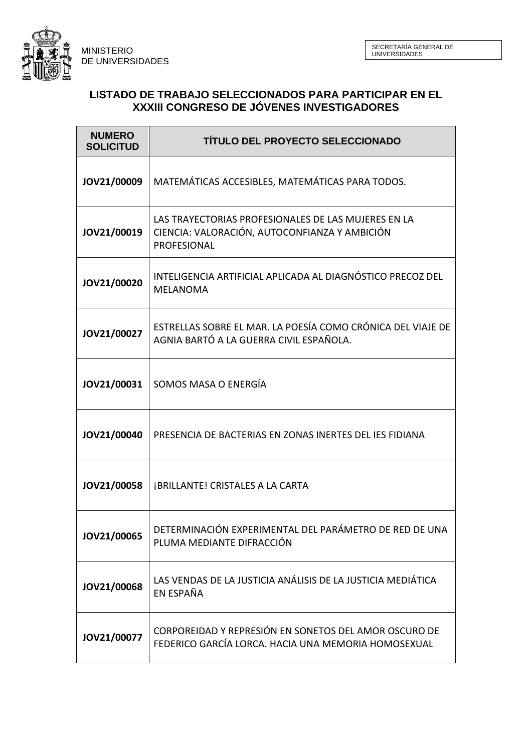MINISTERIO DE UNIVERSIDADES



| <b>NUMERO</b><br><b>SOLICITUD</b> | TÍTULO DEL PROYECTO SELECCIONADO                                                                                    |
|-----------------------------------|---------------------------------------------------------------------------------------------------------------------|
| JOV21/00009                       | MATEMÁTICAS ACCESIBLES, MATEMÁTICAS PARA TODOS.                                                                     |
| JOV21/00019                       | LAS TRAYECTORIAS PROFESIONALES DE LAS MUJERES EN LA<br>CIENCIA: VALORACIÓN, AUTOCONFIANZA Y AMBICIÓN<br>PROFESIONAL |
| JOV21/00020                       | INTELIGENCIA ARTIFICIAL APLICADA AL DIAGNÓSTICO PRECOZ DEL<br><b>MELANOMA</b>                                       |
| JOV21/00027                       | ESTRELLAS SOBRE EL MAR. LA POESÍA COMO CRÓNICA DEL VIAJE DE<br>AGNIA BARTÓ A LA GUERRA CIVIL ESPAÑOLA.              |
| JOV21/00031                       | SOMOS MASA O ENERGÍA                                                                                                |
| JOV21/00040                       | PRESENCIA DE BACTERIAS EN ZONAS INERTES DEL IES FIDIANA                                                             |
| JOV21/00058                       | <b>¡BRILLANTE! CRISTALES A LA CARTA</b>                                                                             |
| JOV21/00065                       | DETERMINACIÓN EXPERIMENTAL DEL PARÁMETRO DE RED DE UNA<br>PLUMA MEDIANTE DIFRACCIÓN                                 |
| JOV21/00068                       | LAS VENDAS DE LA JUSTICIA ANÁLISIS DE LA JUSTICIA MEDIÁTICA<br>EN ESPAÑA                                            |
| JOV21/00077                       | CORPOREIDAD Y REPRESIÓN EN SONETOS DEL AMOR OSCURO DE<br>FEDERICO GARCÍA LORCA. HACIA UNA MEMORIA HOMOSEXUAL        |

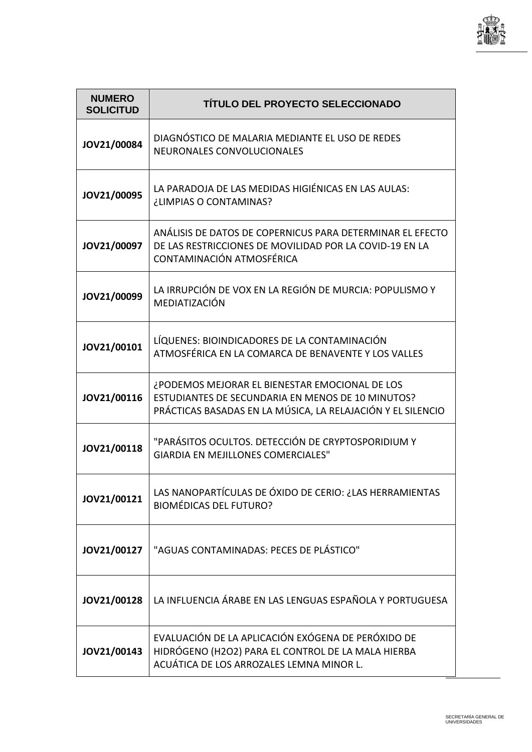

| <b>NUMERO</b><br><b>SOLICITUD</b> | TÍTULO DEL PROYECTO SELECCIONADO                                                                                                                                   |
|-----------------------------------|--------------------------------------------------------------------------------------------------------------------------------------------------------------------|
| JOV21/00084                       | DIAGNÓSTICO DE MALARIA MEDIANTE EL USO DE REDES<br>NEURONALES CONVOLUCIONALES                                                                                      |
| JOV21/00095                       | LA PARADOJA DE LAS MEDIDAS HIGIÉNICAS EN LAS AULAS:<br>¿LIMPIAS O CONTAMINAS?                                                                                      |
| JOV21/00097                       | ANÁLISIS DE DATOS DE COPERNICUS PARA DETERMINAR EL EFECTO<br>DE LAS RESTRICCIONES DE MOVILIDAD POR LA COVID-19 EN LA<br>CONTAMINACIÓN ATMOSFÉRICA                  |
| JOV21/00099                       | LA IRRUPCIÓN DE VOX EN LA REGIÓN DE MURCIA: POPULISMO Y<br>MEDIATIZACIÓN                                                                                           |
| JOV21/00101                       | LÍQUENES: BIOINDICADORES DE LA CONTAMINACIÓN<br>ATMOSFÉRICA EN LA COMARCA DE BENAVENTE Y LOS VALLES                                                                |
| JOV21/00116                       | ¿PODEMOS MEJORAR EL BIENESTAR EMOCIONAL DE LOS<br>ESTUDIANTES DE SECUNDARIA EN MENOS DE 10 MINUTOS?<br>PRÁCTICAS BASADAS EN LA MÚSICA, LA RELAJACIÓN Y EL SILENCIO |
| JOV21/00118                       | "PARÁSITOS OCULTOS. DETECCIÓN DE CRYPTOSPORIDIUM Y<br><b>GIARDIA EN MEJILLONES COMERCIALES"</b>                                                                    |
| JOV21/00121                       | LAS NANOPARTÍCULAS DE ÓXIDO DE CERIO: ¿LAS HERRAMIENTAS<br><b>BIOMÉDICAS DEL FUTURO?</b>                                                                           |
| JOV21/00127                       | "AGUAS CONTAMINADAS: PECES DE PLÁSTICO"                                                                                                                            |
| JOV21/00128                       | LA INFLUENCIA ÁRABE EN LAS LENGUAS ESPAÑOLA Y PORTUGUESA                                                                                                           |
| JOV21/00143                       | EVALUACIÓN DE LA APLICACIÓN EXÓGENA DE PERÓXIDO DE<br>HIDRÓGENO (H2O2) PARA EL CONTROL DE LA MALA HIERBA<br>ACUÁTICA DE LOS ARROZALES LEMNA MINOR L.               |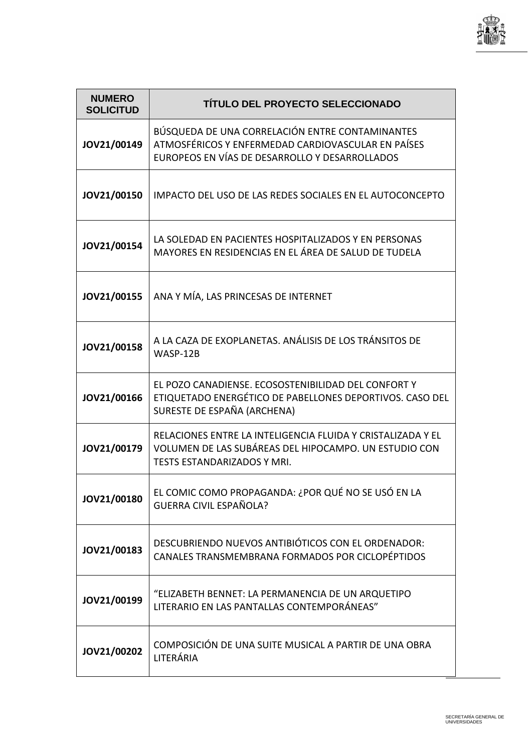

| <b>NUMERO</b><br><b>SOLICITUD</b> | TÍTULO DEL PROYECTO SELECCIONADO                                                                                                                        |
|-----------------------------------|---------------------------------------------------------------------------------------------------------------------------------------------------------|
| JOV21/00149                       | BÚSQUEDA DE UNA CORRELACIÓN ENTRE CONTAMINANTES<br>ATMOSFÉRICOS Y ENFERMEDAD CARDIOVASCULAR EN PAÍSES<br>EUROPEOS EN VÍAS DE DESARROLLO Y DESARROLLADOS |
| JOV21/00150                       | IMPACTO DEL USO DE LAS REDES SOCIALES EN EL AUTOCONCEPTO                                                                                                |
| JOV21/00154                       | LA SOLEDAD EN PACIENTES HOSPITALIZADOS Y EN PERSONAS<br>MAYORES EN RESIDENCIAS EN EL ÁREA DE SALUD DE TUDELA                                            |
| JOV21/00155                       | ANA Y MÍA, LAS PRINCESAS DE INTERNET                                                                                                                    |
| JOV21/00158                       | A LA CAZA DE EXOPLANETAS. ANÁLISIS DE LOS TRÁNSITOS DE<br>WASP-12B                                                                                      |
| JOV21/00166                       | EL POZO CANADIENSE. ECOSOSTENIBILIDAD DEL CONFORT Y<br>ETIQUETADO ENERGÉTICO DE PABELLONES DEPORTIVOS. CASO DEL<br>SURESTE DE ESPAÑA (ARCHENA)          |
| JOV21/00179                       | RELACIONES ENTRE LA INTELIGENCIA FLUIDA Y CRISTALIZADA Y EL<br>VOLUMEN DE LAS SUBÁREAS DEL HIPOCAMPO. UN ESTUDIO CON<br>TESTS ESTANDARIZADOS Y MRI.     |
| JOV21/00180                       | EL COMIC COMO PROPAGANDA: ¿POR QUÉ NO SE USÓ EN LA<br><b>GUERRA CIVIL ESPAÑOLA?</b>                                                                     |
| JOV21/00183                       | DESCUBRIENDO NUEVOS ANTIBIÓTICOS CON EL ORDENADOR:<br>CANALES TRANSMEMBRANA FORMADOS POR CICLOPÉPTIDOS                                                  |
| JOV21/00199                       | "ELIZABETH BENNET: LA PERMANENCIA DE UN ARQUETIPO<br>LITERARIO EN LAS PANTALLAS CONTEMPORÁNEAS"                                                         |
| JOV21/00202                       | COMPOSICIÓN DE UNA SUITE MUSICAL A PARTIR DE UNA OBRA<br>LITERÁRIA                                                                                      |